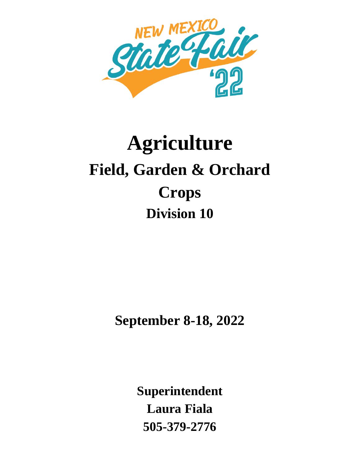

# **Agriculture Field, Garden & Orchard Crops Division 10**

**September 8-18, 2022**

**Superintendent Laura Fiala 505-379-2776**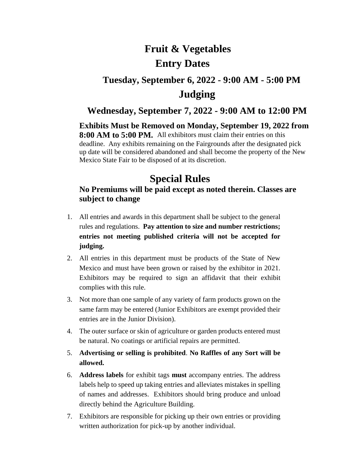# **Fruit & Vegetables Entry Dates**

# **Tuesday, September 6, 2022 - 9:00 AM - 5:00 PM Judging**

### **Wednesday, September 7, 2022 - 9:00 AM to 12:00 PM**

**Exhibits Must be Removed on Monday, September 19, 2022 from 8:00 AM to 5:00 PM.** All exhibitors must claim their entries on this deadline. Any exhibits remaining on the Fairgrounds after the designated pick up date will be considered abandoned and shall become the property of the New Mexico State Fair to be disposed of at its discretion.

# **Special Rules**

### **No Premiums will be paid except as noted therein. Classes are subject to change**

- 1. All entries and awards in this department shall be subject to the general rules and regulations. **Pay attention to size and number restrictions; entries not meeting published criteria will not be accepted for judging.**
- 2. All entries in this department must be products of the State of New Mexico and must have been grown or raised by the exhibitor in 2021. Exhibitors may be required to sign an affidavit that their exhibit complies with this rule.
- 3. Not more than one sample of any variety of farm products grown on the same farm may be entered (Junior Exhibitors are exempt provided their entries are in the Junior Division).
- 4. The outer surface or skin of agriculture or garden products entered must be natural. No coatings or artificial repairs are permitted.
- 5. **Advertising or selling is prohibited**. **No Raffles of any Sort will be allowed.**
- 6. **Address labels** for exhibit tags **must** accompany entries. The address labels help to speed up taking entries and alleviates mistakes in spelling of names and addresses. Exhibitors should bring produce and unload directly behind the Agriculture Building.
- 7. Exhibitors are responsible for picking up their own entries or providing written authorization for pick-up by another individual.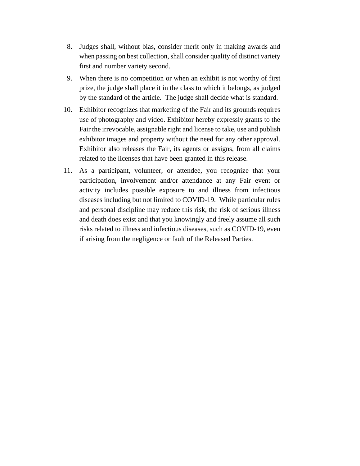- 8. Judges shall, without bias, consider merit only in making awards and when passing on best collection, shall consider quality of distinct variety first and number variety second.
- 9. When there is no competition or when an exhibit is not worthy of first prize, the judge shall place it in the class to which it belongs, as judged by the standard of the article. The judge shall decide what is standard.
- 10. Exhibitor recognizes that marketing of the Fair and its grounds requires use of photography and video. Exhibitor hereby expressly grants to the Fair the irrevocable, assignable right and license to take, use and publish exhibitor images and property without the need for any other approval. Exhibitor also releases the Fair, its agents or assigns, from all claims related to the licenses that have been granted in this release.
- 11. As a participant, volunteer, or attendee, you recognize that your participation, involvement and/or attendance at any Fair event or activity includes possible exposure to and illness from infectious diseases including but not limited to COVID-19. While particular rules and personal discipline may reduce this risk, the risk of serious illness and death does exist and that you knowingly and freely assume all such risks related to illness and infectious diseases, such as COVID-19, even if arising from the negligence or fault of the Released Parties.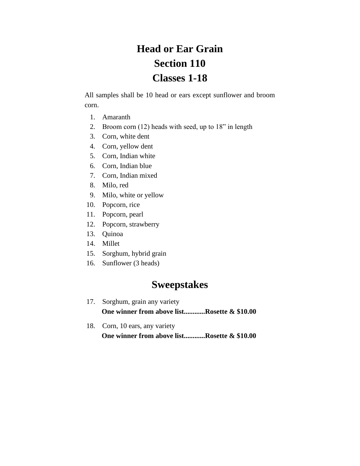# **Head or Ear Grain Section 110 Classes 1-18**

All samples shall be 10 head or ears except sunflower and broom corn.

- 1. Amaranth
- 2. Broom corn (12) heads with seed, up to 18" in length
- 3. Corn, white dent
- 4. Corn, yellow dent
- 5. Corn, Indian white
- 6. Corn, Indian blue
- 7. Corn, Indian mixed
- 8. Milo, red
- 9. Milo, white or yellow
- 10. Popcorn, rice
- 11. Popcorn, pearl
- 12. Popcorn, strawberry
- 13. Quinoa
- 14. Millet
- 15. Sorghum, hybrid grain
- 16. Sunflower (3 heads)

# **Sweepstakes**

- 17. Sorghum, grain any variety **One winner from above list............Rosette & \$10.00**
- 18. Corn, 10 ears, any variety  **One winner from above list............Rosette & \$10.00**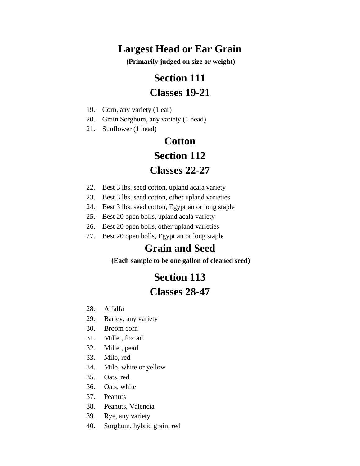# **Largest Head or Ear Grain**

**(Primarily judged on size or weight)**

# **Section 111**

# **Classes 19-21**

- 19. Corn, any variety (1 ear)
- 20. Grain Sorghum, any variety (1 head)
- 21. Sunflower (1 head)

# **Cotton Section 112 Classes 22-27**

- 22. Best 3 lbs. seed cotton, upland acala variety
- 23. Best 3 lbs. seed cotton, other upland varieties
- 24. Best 3 lbs. seed cotton, Egyptian or long staple
- 25. Best 20 open bolls, upland acala variety
- 26. Best 20 open bolls, other upland varieties
- 27. Best 20 open bolls, Egyptian or long staple

## **Grain and Seed**

**(Each sample to be one gallon of cleaned seed)**

# **Section 113**

### **Classes 28-47**

- 28. Alfalfa
- 29. Barley, any variety
- 30. Broom corn
- 31. Millet, foxtail
- 32. Millet, pearl
- 33. Milo, red
- 34. Milo, white or yellow
- 35. Oats, red
- 36. Oats, white
- 37. Peanuts
- 38. Peanuts, Valencia
- 39. Rye, any variety
- 40. Sorghum, hybrid grain, red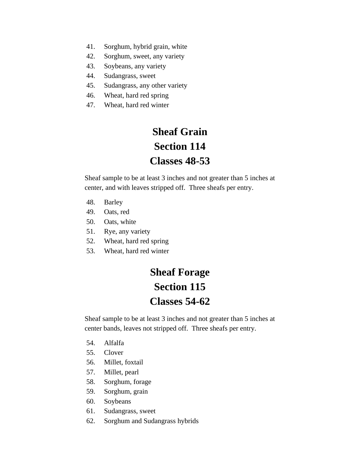- 41. Sorghum, hybrid grain, white
- 42. Sorghum, sweet, any variety
- 43. Soybeans, any variety
- 44. Sudangrass, sweet
- 45. Sudangrass, any other variety
- 46. Wheat, hard red spring
- 47. Wheat, hard red winter

# **Sheaf Grain Section 114 Classes 48-53**

Sheaf sample to be at least 3 inches and not greater than 5 inches at center, and with leaves stripped off. Three sheafs per entry.

- 48. Barley
- 49. Oats, red
- 50. Oats, white
- 51. Rye, any variety
- 52. Wheat, hard red spring
- 53. Wheat, hard red winter

# **Sheaf Forage Section 115 Classes 54-62**

Sheaf sample to be at least 3 inches and not greater than 5 inches at center bands, leaves not stripped off. Three sheafs per entry.

- 54. Alfalfa
- 55. Clover
- 56. Millet, foxtail
- 57. Millet, pearl
- 58. Sorghum, forage
- 59. Sorghum, grain
- 60. Soybeans
- 61. Sudangrass, sweet
- 62. Sorghum and Sudangrass hybrids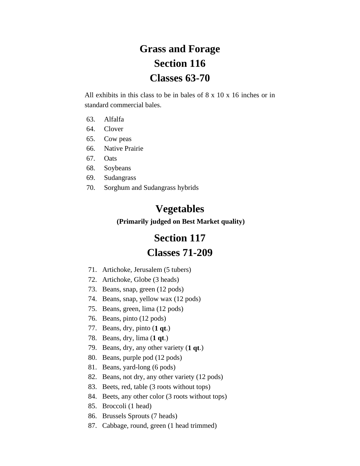# **Grass and Forage Section 116 Classes 63-70**

All exhibits in this class to be in bales of 8 x 10 x 16 inches or in standard commercial bales.

- 63. Alfalfa
- 64. Clover
- 65. Cow peas
- 66. Native Prairie
- 67. Oats
- 68. Soybeans
- 69. Sudangrass
- 70. Sorghum and Sudangrass hybrids

### **Vegetables**

**(Primarily judged on Best Market quality)**

# **Section 117**

### **Classes 71-209**

- 71. Artichoke, Jerusalem (5 tubers)
- 72. Artichoke, Globe (3 heads)
- 73. Beans, snap, green (12 pods)
- 74. Beans, snap, yellow wax (12 pods)
- 75. Beans, green, lima (12 pods)
- 76. Beans, pinto (12 pods)
- 77. Beans, dry, pinto (**1 qt**.)
- 78. Beans, dry, lima (**1 qt**.)
- 79. Beans, dry, any other variety (**1 qt**.)
- 80. Beans, purple pod (12 pods)
- 81. Beans, yard-long (6 pods)
- 82. Beans, not dry, any other variety (12 pods)
- 83. Beets, red, table (3 roots without tops)
- 84. Beets, any other color (3 roots without tops)
- 85. Broccoli (1 head)
- 86. Brussels Sprouts (7 heads)
- 87. Cabbage, round, green (1 head trimmed)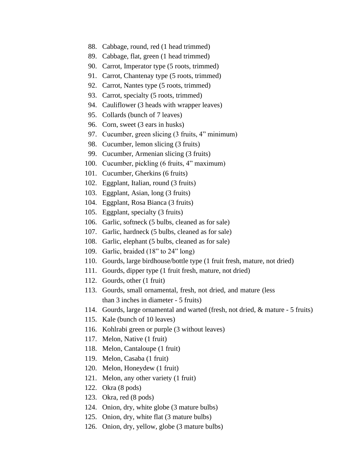- 88. Cabbage, round, red (1 head trimmed)
- 89. Cabbage, flat, green (1 head trimmed)
- 90. Carrot, Imperator type (5 roots, trimmed)
- 91. Carrot, Chantenay type (5 roots, trimmed)
- 92. Carrot, Nantes type (5 roots, trimmed)
- 93. Carrot, specialty (5 roots, trimmed)
- 94. Cauliflower (3 heads with wrapper leaves)
- 95. Collards (bunch of 7 leaves)
- 96. Corn, sweet (3 ears in husks)
- 97. Cucumber, green slicing (3 fruits, 4" minimum)
- 98. Cucumber, lemon slicing (3 fruits)
- 99. Cucumber, Armenian slicing (3 fruits)
- 100. Cucumber, pickling (6 fruits, 4" maximum)
- 101. Cucumber, Gherkins (6 fruits)
- 102. Eggplant, Italian, round (3 fruits)
- 103. Eggplant, Asian, long (3 fruits)
- 104. Eggplant, Rosa Bianca (3 fruits)
- 105. Eggplant, specialty (3 fruits)
- 106. Garlic, softneck (5 bulbs, cleaned as for sale)
- 107. Garlic, hardneck (5 bulbs, cleaned as for sale)
- 108. Garlic, elephant (5 bulbs, cleaned as for sale)
- 109. Garlic, braided (18" to 24" long)
- 110. Gourds, large birdhouse/bottle type (1 fruit fresh, mature, not dried)
- 111. Gourds, dipper type (1 fruit fresh, mature, not dried)
- 112. Gourds, other (1 fruit)
- 113. Gourds, small ornamental, fresh, not dried, and mature (less than 3 inches in diameter - 5 fruits)
- 114. Gourds, large ornamental and warted (fresh, not dried, & mature 5 fruits)
- 115. Kale (bunch of 10 leaves)
- 116. Kohlrabi green or purple (3 without leaves)
- 117. Melon, Native (1 fruit)
- 118. Melon, Cantaloupe (1 fruit)
- 119. Melon, Casaba (1 fruit)
- 120. Melon, Honeydew (1 fruit)
- 121. Melon, any other variety (1 fruit)
- 122. Okra (8 pods)
- 123. Okra, red (8 pods)
- 124. Onion, dry, white globe (3 mature bulbs)
- 125. Onion, dry, white flat (3 mature bulbs)
- 126. Onion, dry, yellow, globe (3 mature bulbs)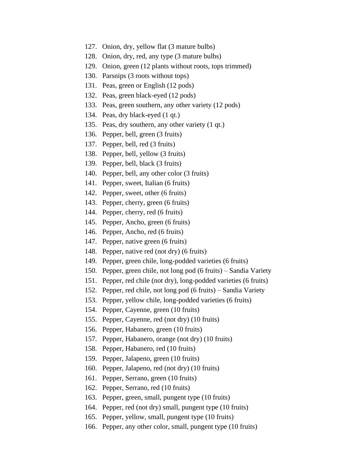- 127. Onion, dry, yellow flat (3 mature bulbs)
- 128. Onion, dry, red, any type (3 mature bulbs)
- 129. Onion, green (12 plants without roots, tops trimmed)
- 130. Parsnips (3 roots without tops)
- 131. Peas, green or English (12 pods)
- 132. Peas, green black-eyed (12 pods)
- 133. Peas, green southern, any other variety (12 pods)
- 134. Peas, dry black-eyed (1 qt.)
- 135. Peas, dry southern, any other variety (1 qt.)
- 136. Pepper, bell, green (3 fruits)
- 137. Pepper, bell, red (3 fruits)
- 138. Pepper, bell, yellow (3 fruits)
- 139. Pepper, bell, black (3 fruits)
- 140. Pepper, bell, any other color (3 fruits)
- 141. Pepper, sweet, Italian (6 fruits)
- 142. Pepper, sweet, other (6 fruits)
- 143. Pepper, cherry, green (6 fruits)
- 144. Pepper, cherry, red (6 fruits)
- 145. Pepper, Ancho, green (6 fruits)
- 146. Pepper, Ancho, red (6 fruits)
- 147. Pepper, native green (6 fruits)
- 148. Pepper, native red (not dry) (6 fruits)
- 149. Pepper, green chile, long-podded varieties (6 fruits)
- 150. Pepper, green chile, not long pod (6 fruits) Sandia Variety
- 151. Pepper, red chile (not dry), long-podded varieties (6 fruits)
- 152. Pepper, red chile, not long pod (6 fruits) Sandia Variety
- 153. Pepper, yellow chile, long-podded varieties (6 fruits)
- 154. Pepper, Cayenne, green (10 fruits)
- 155. Pepper, Cayenne, red (not dry) (10 fruits)
- 156. Pepper, Habanero, green (10 fruits)
- 157. Pepper, Habanero, orange (not dry) (10 fruits)
- 158. Pepper, Habanero, red (10 fruits)
- 159. Pepper, Jalapeno, green (10 fruits)
- 160. Pepper, Jalapeno, red (not dry) (10 fruits)
- 161. Pepper, Serrano, green (10 fruits)
- 162. Pepper, Serrano, red (10 fruits)
- 163. Pepper, green, small, pungent type (10 fruits)
- 164. Pepper, red (not dry) small, pungent type (10 fruits)
- 165. Pepper, yellow, small, pungent type (10 fruits)
- 166. Pepper, any other color, small, pungent type (10 fruits)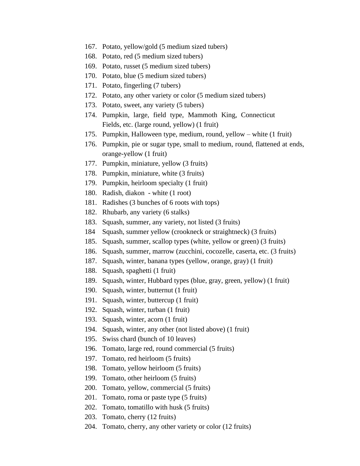- 167. Potato, yellow/gold (5 medium sized tubers)
- 168. Potato, red (5 medium sized tubers)
- 169. Potato, russet (5 medium sized tubers)
- 170. Potato, blue (5 medium sized tubers)
- 171. Potato, fingerling (7 tubers)
- 172. Potato, any other variety or color (5 medium sized tubers)
- 173. Potato, sweet, any variety (5 tubers)
- 174. Pumpkin, large, field type, Mammoth King, Connecticut Fields, etc. (large round, yellow) (1 fruit)
- 175. Pumpkin, Halloween type, medium, round, yellow white (1 fruit)
- 176. Pumpkin, pie or sugar type, small to medium, round, flattened at ends, orange-yellow (1 fruit)
- 177. Pumpkin, miniature, yellow (3 fruits)
- 178. Pumpkin, miniature, white (3 fruits)
- 179. Pumpkin, heirloom specialty (1 fruit)
- 180. Radish, diakon white (1 root)
- 181. Radishes (3 bunches of 6 roots with tops)
- 182. Rhubarb, any variety (6 stalks)
- 183. Squash, summer, any variety, not listed (3 fruits)
- 184 Squash, summer yellow (crookneck or straightneck) (3 fruits)
- 185. Squash, summer, scallop types (white, yellow or green) (3 fruits)
- 186. Squash, summer, marrow (zucchini, cocozelle, caserta, etc. (3 fruits)
- 187. Squash, winter, banana types (yellow, orange, gray) (1 fruit)
- 188. Squash, spaghetti (1 fruit)
- 189. Squash, winter, Hubbard types (blue, gray, green, yellow) (1 fruit)
- 190. Squash, winter, butternut (1 fruit)
- 191. Squash, winter, buttercup (1 fruit)
- 192. Squash, winter, turban (1 fruit)
- 193. Squash, winter, acorn (1 fruit)
- 194. Squash, winter, any other (not listed above) (1 fruit)
- 195. Swiss chard (bunch of 10 leaves)
- 196. Tomato, large red, round commercial (5 fruits)
- 197. Tomato, red heirloom (5 fruits)
- 198. Tomato, yellow heirloom (5 fruits)
- 199. Tomato, other heirloom (5 fruits)
- 200. Tomato, yellow, commercial (5 fruits)
- 201. Tomato, roma or paste type (5 fruits)
- 202. Tomato, tomatillo with husk (5 fruits)
- 203. Tomato, cherry (12 fruits)
- 204. Tomato, cherry, any other variety or color (12 fruits)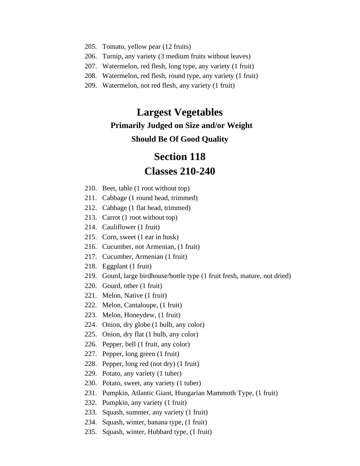- 205. Tomato, yellow pear (12 fruits)
- 206. Turnip, any variety (3 medium fruits without leaves)
- 207. Watermelon, red flesh, long type, any variety (1 fruit)
- 208. Watermelon, red flesh, round type, any variety (1 fruit)
- 209. Watermelon, not red flesh, any variety (1 fruit)

# **Largest Vegetables Primarily Judged on Size and/or Weight Should Be Of Good Quality**

# **Section 118 Classes 210-240**

- 210. Beet, table (1 root without top)
- 211. Cabbage (1 round head, trimmed)
- 212. Cabbage (1 flat head, trimmed)
- 213. Carrot (1 root without top)
- 214. Cauliflower (1 fruit)
- 215. Corn, sweet (1 ear in husk)
- 216. Cucumber, not Armenian, (1 fruit)
- 217. Cucumber, Armenian (1 fruit)
- 218. Eggplant (1 fruit)
- 219. Gourd, large birdhouse/bottle type (1 fruit fresh, mature, not dried)
- 220. Gourd, other (1 fruit)
- 221. Melon, Native (1 fruit)
- 222. Melon, Cantaloupe, (1 fruit)
- 223. Melon, Honeydew, (1 fruit)
- 224. Onion, dry globe (1 bulb, any color)
- 225. Onion, dry flat (1 bulb, any color)
- 226. Pepper, bell (1 fruit, any color)
- 227. Pepper, long green (1 fruit)
- 228. Pepper, long red (not dry) (1 fruit)
- 229. Potato, any variety (1 tuber)
- 230. Potato, sweet, any variety (1 tuber)
- 231. Pumpkin, Atlantic Giant, Hungarian Mammoth Type, (1 fruit)
- 232. Pumpkin, any variety (1 fruit)
- 233. Squash, summer, any variety (1 fruit)
- 234. Squash, winter, banana type, (1 fruit)
- 235. Squash, winter, Hubbard type, (1 fruit)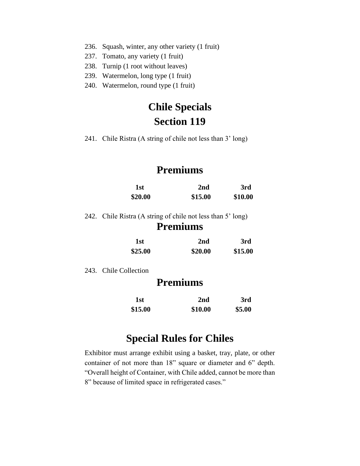- 236. Squash, winter, any other variety (1 fruit)
- 237. Tomato, any variety (1 fruit)
- 238. Turnip (1 root without leaves)
- 239. Watermelon, long type (1 fruit)
- 240. Watermelon, round type (1 fruit)

# **Chile Specials Section 119**

241. Chile Ristra (A string of chile not less than 3' long)

# **Premiums**

| 1st     | 2nd     | 3rd     |
|---------|---------|---------|
| \$20.00 | \$15.00 | \$10.00 |

242. Chile Ristra (A string of chile not less than 5' long)

### **Premiums**

| 1st     | 2nd     | 3rd     |
|---------|---------|---------|
| \$25.00 | \$20.00 | \$15.00 |

243. Chile Collection

## **Premiums**

| 1st     | 2 <sub>nd</sub> | 3rd    |
|---------|-----------------|--------|
| \$15.00 | \$10.00         | \$5.00 |

# **Special Rules for Chiles**

Exhibitor must arrange exhibit using a basket, tray, plate, or other container of not more than 18" square or diameter and 6" depth. "Overall height of Container, with Chile added, cannot be more than 8" because of limited space in refrigerated cases."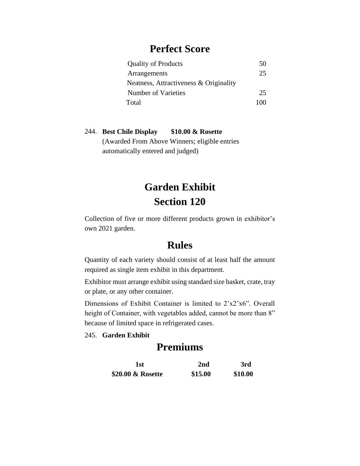### **Perfect Score**

| <b>Quality of Products</b>             | 50  |
|----------------------------------------|-----|
| Arrangements                           | 25  |
| Neatness, Attractiveness & Originality |     |
| Number of Varieties                    | 25  |
| Total                                  | 100 |

#### 244. **Best Chile Display \$10.00 & Rosette**  (Awarded From Above Winners; eligible entries automatically entered and judged)

# **Garden Exhibit Section 120**

Collection of five or more different products grown in exhibitor's own 2021 garden.

### **Rules**

Quantity of each variety should consist of at least half the amount required as single item exhibit in this department.

Exhibitor must arrange exhibit using standard size basket, crate, tray or plate, or any other container.

Dimensions of Exhibit Container is limited to 2'x2'x6". Overall height of Container, with vegetables added, cannot be more than 8" because of limited space in refrigerated cases.

#### 245. **Garden Exhibit**

# **Premiums**

| 1st               | 2nd     | 3rd     |
|-------------------|---------|---------|
| \$20.00 & Rosette | \$15.00 | \$10.00 |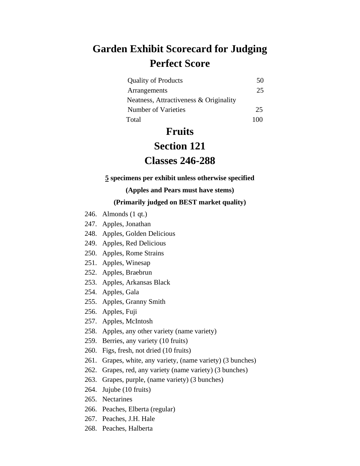# **Garden Exhibit Scorecard for Judging Perfect Score**

| <b>Quality of Products</b>             | 50 |
|----------------------------------------|----|
| Arrangements                           | 25 |
| Neatness, Attractiveness & Originality |    |
| Number of Varieties                    | 25 |
| Total                                  | ும |

# **Fruits**

### **Section 121**

## **Classes 246-288**

#### **5 specimens per exhibit unless otherwise specified**

#### **(Apples and Pears must have stems)**

#### **(Primarily judged on BEST market quality)**

- 246. Almonds (1 qt.)
- 247. Apples, Jonathan
- 248. Apples, Golden Delicious
- 249. Apples, Red Delicious
- 250. Apples, Rome Strains
- 251. Apples, Winesap
- 252. Apples, Braebrun
- 253. Apples, Arkansas Black
- 254. Apples, Gala
- 255. Apples, Granny Smith
- 256. Apples, Fuji
- 257. Apples, McIntosh
- 258. Apples, any other variety (name variety)
- 259. Berries, any variety (10 fruits)
- 260. Figs, fresh, not dried (10 fruits)
- 261. Grapes, white, any variety, (name variety) (3 bunches)
- 262. Grapes, red, any variety (name variety) (3 bunches)
- 263. Grapes, purple, (name variety) (3 bunches)
- 264. Jujube (10 fruits)
- 265. Nectarines
- 266. Peaches, Elberta (regular)
- 267. Peaches, J.H. Hale
- 268. Peaches, Halberta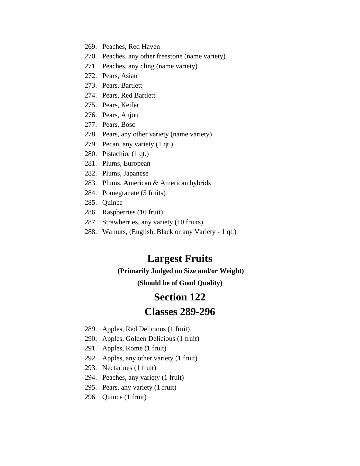- 269. Peaches, Red Haven
- 270. Peaches, any other freestone (name variety)
- 271. Peaches, any cling (name variety)
- 272. Pears, Asian
- 273. Pears, Bartlett
- 274. Pears, Red Bartlett
- 275. Pears, Keifer
- 276. Pears, Anjou
- 277. Pears, Bosc
- 278. Pears, any other variety (name variety)
- 279. Pecan, any variety (1 qt.)
- 280. Pistachio, (1 qt.)
- 281. Plums, European
- 282. Plums, Japanese
- 283. Plums, American & American hybrids
- 284. Pomegranate (5 fruits)
- 285. Quince
- 286. Raspberries (10 fruit)
- 287. Strawberries, any variety (10 fruits)
- 288. Walnuts, (English, Black or any Variety 1 qt.)

# **Largest Fruits**

#### **(Primarily Judged on Size and/or Weight)**

**(Should be of Good Quality)**

### **Section 122**

### **Classes 289-296**

- 289. Apples, Red Delicious (1 fruit)
- 290. Apples, Golden Delicious (1 fruit)
- 291. Apples, Rome (1 fruit)
- 292. Apples, any other variety (1 fruit)
- 293. Nectarines (1 fruit)
- 294. Peaches, any variety (1 fruit)
- 295. Pears, any variety (1 fruit)
- 296. Quince (1 fruit)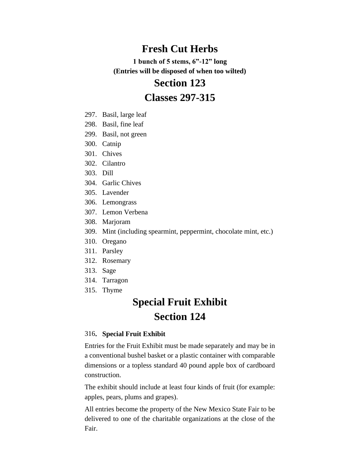# **Fresh Cut Herbs**

**1 bunch of 5 stems, 6"-12" long (Entries will be disposed of when too wilted)**

### **Section 123**

## **Classes 297-315**

- 297. Basil, large leaf
- 298. Basil, fine leaf
- 299. Basil, not green
- 300. Catnip
- 301. Chives
- 302. Cilantro
- 303. Dill
- 304. Garlic Chives
- 305. Lavender
- 306. Lemongrass
- 307. Lemon Verbena
- 308. Marjoram
- 309. Mint (including spearmint, peppermint, chocolate mint, etc.)
- 310. Oregano
- 311. Parsley
- 312. Rosemary
- 313. Sage
- 314. Tarragon
- 315. Thyme

# **Special Fruit Exhibit Section 124**

#### 316**. Special Fruit Exhibit**

Entries for the Fruit Exhibit must be made separately and may be in a conventional bushel basket or a plastic container with comparable dimensions or a topless standard 40 pound apple box of cardboard construction.

The exhibit should include at least four kinds of fruit (for example: apples, pears, plums and grapes).

All entries become the property of the New Mexico State Fair to be delivered to one of the charitable organizations at the close of the Fair.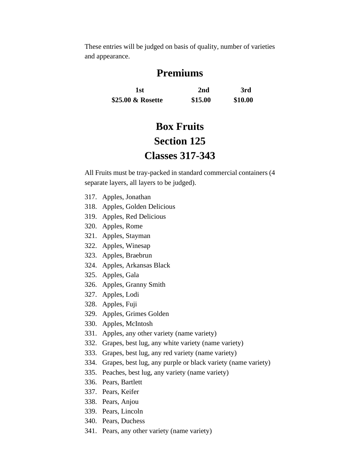These entries will be judged on basis of quality, number of varieties and appearance.

# **Premiums**

**1st 2nd 3rd \$25.00 & Rosette \$15.00 \$10.00**

# **Box Fruits Section 125 Classes 317-343**

All Fruits must be tray-packed in standard commercial containers (4 separate layers, all layers to be judged).

- 317. Apples, Jonathan
- 318. Apples, Golden Delicious
- 319. Apples, Red Delicious
- 320. Apples, Rome
- 321. Apples, Stayman
- 322. Apples, Winesap
- 323. Apples, Braebrun
- 324. Apples, Arkansas Black
- 325. Apples, Gala
- 326. Apples, Granny Smith
- 327. Apples, Lodi
- 328. Apples, Fuji
- 329. Apples, Grimes Golden
- 330. Apples, McIntosh
- 331. Apples, any other variety (name variety)
- 332. Grapes, best lug, any white variety (name variety)
- 333. Grapes, best lug, any red variety (name variety)
- 334. Grapes, best lug, any purple or black variety (name variety)
- 335. Peaches, best lug, any variety (name variety)
- 336. Pears, Bartlett
- 337. Pears, Keifer
- 338. Pears, Anjou
- 339. Pears, Lincoln
- 340. Pears, Duchess
- 341. Pears, any other variety (name variety)